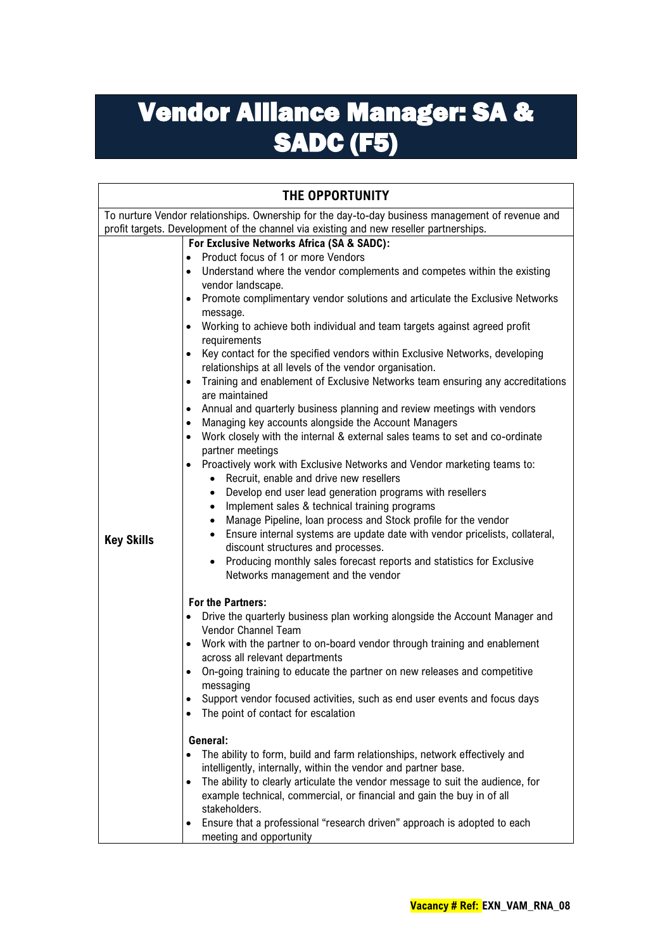## Vendor Alliance Manager: SA & SADC (F5)

| To nurture Vendor relationships. Ownership for the day-to-day business management of revenue and<br>profit targets. Development of the channel via existing and new reseller partnerships.<br>For Exclusive Networks Africa (SA & SADC):<br>Product focus of 1 or more Vendors<br>$\bullet$<br>Understand where the vendor complements and competes within the existing<br>$\bullet$<br>vendor landscape.<br>Promote complimentary vendor solutions and articulate the Exclusive Networks<br>$\bullet$<br>message.                                                                                                                                                                                                                                                                                                                                                                                                                                                                                                                                                                                                                                                                                                                                                                                                                                                                                                                                                                                                                                                                                                                                                                                                                                                                                                                                                                                                                                                                                                                                                                        |
|-------------------------------------------------------------------------------------------------------------------------------------------------------------------------------------------------------------------------------------------------------------------------------------------------------------------------------------------------------------------------------------------------------------------------------------------------------------------------------------------------------------------------------------------------------------------------------------------------------------------------------------------------------------------------------------------------------------------------------------------------------------------------------------------------------------------------------------------------------------------------------------------------------------------------------------------------------------------------------------------------------------------------------------------------------------------------------------------------------------------------------------------------------------------------------------------------------------------------------------------------------------------------------------------------------------------------------------------------------------------------------------------------------------------------------------------------------------------------------------------------------------------------------------------------------------------------------------------------------------------------------------------------------------------------------------------------------------------------------------------------------------------------------------------------------------------------------------------------------------------------------------------------------------------------------------------------------------------------------------------------------------------------------------------------------------------------------------------|
|                                                                                                                                                                                                                                                                                                                                                                                                                                                                                                                                                                                                                                                                                                                                                                                                                                                                                                                                                                                                                                                                                                                                                                                                                                                                                                                                                                                                                                                                                                                                                                                                                                                                                                                                                                                                                                                                                                                                                                                                                                                                                           |
|                                                                                                                                                                                                                                                                                                                                                                                                                                                                                                                                                                                                                                                                                                                                                                                                                                                                                                                                                                                                                                                                                                                                                                                                                                                                                                                                                                                                                                                                                                                                                                                                                                                                                                                                                                                                                                                                                                                                                                                                                                                                                           |
| Working to achieve both individual and team targets against agreed profit<br>requirements<br>Key contact for the specified vendors within Exclusive Networks, developing<br>$\bullet$<br>relationships at all levels of the vendor organisation.<br>Training and enablement of Exclusive Networks team ensuring any accreditations<br>$\bullet$<br>are maintained<br>Annual and quarterly business planning and review meetings with vendors<br>Managing key accounts alongside the Account Managers<br>$\bullet$<br>Work closely with the internal & external sales teams to set and co-ordinate<br>partner meetings<br>Proactively work with Exclusive Networks and Vendor marketing teams to:<br>Recruit, enable and drive new resellers<br>Develop end user lead generation programs with resellers<br>Implement sales & technical training programs<br>$\bullet$<br>Manage Pipeline, Ioan process and Stock profile for the vendor<br>$\bullet$<br>Ensure internal systems are update date with vendor pricelists, collateral,<br><b>Key Skills</b><br>discount structures and processes.<br>Producing monthly sales forecast reports and statistics for Exclusive<br>Networks management and the vendor<br>For the Partners:<br>Drive the quarterly business plan working alongside the Account Manager and<br>Vendor Channel Team<br>Work with the partner to on-board vendor through training and enablement<br>across all relevant departments<br>On-going training to educate the partner on new releases and competitive<br>messaging<br>Support vendor focused activities, such as end user events and focus days<br>The point of contact for escalation<br>General:<br>The ability to form, build and farm relationships, network effectively and<br>intelligently, internally, within the vendor and partner base.<br>The ability to clearly articulate the vendor message to suit the audience, for<br>example technical, commercial, or financial and gain the buy in of all<br>stakeholders.<br>Ensure that a professional "research driven" approach is adopted to each |